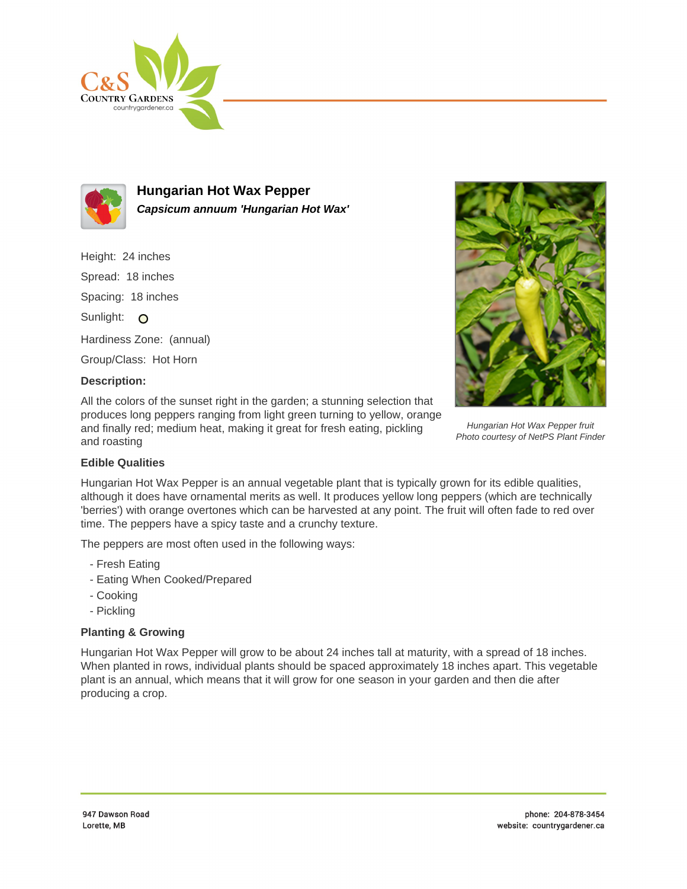



**Hungarian Hot Wax Pepper Capsicum annuum 'Hungarian Hot Wax'**

Height: 24 inches Spread: 18 inches Spacing: 18 inches

Sunlight: O

Hardiness Zone: (annual)

Group/Class: Hot Horn

## **Description:**

All the colors of the sunset right in the garden; a stunning selection that produces long peppers ranging from light green turning to yellow, orange and finally red; medium heat, making it great for fresh eating, pickling and roasting



Hungarian Hot Wax Pepper fruit Photo courtesy of NetPS Plant Finder

## **Edible Qualities**

Hungarian Hot Wax Pepper is an annual vegetable plant that is typically grown for its edible qualities, although it does have ornamental merits as well. It produces yellow long peppers (which are technically 'berries') with orange overtones which can be harvested at any point. The fruit will often fade to red over time. The peppers have a spicy taste and a crunchy texture.

The peppers are most often used in the following ways:

- Fresh Eating
- Eating When Cooked/Prepared
- Cooking
- Pickling

## **Planting & Growing**

Hungarian Hot Wax Pepper will grow to be about 24 inches tall at maturity, with a spread of 18 inches. When planted in rows, individual plants should be spaced approximately 18 inches apart. This vegetable plant is an annual, which means that it will grow for one season in your garden and then die after producing a crop.